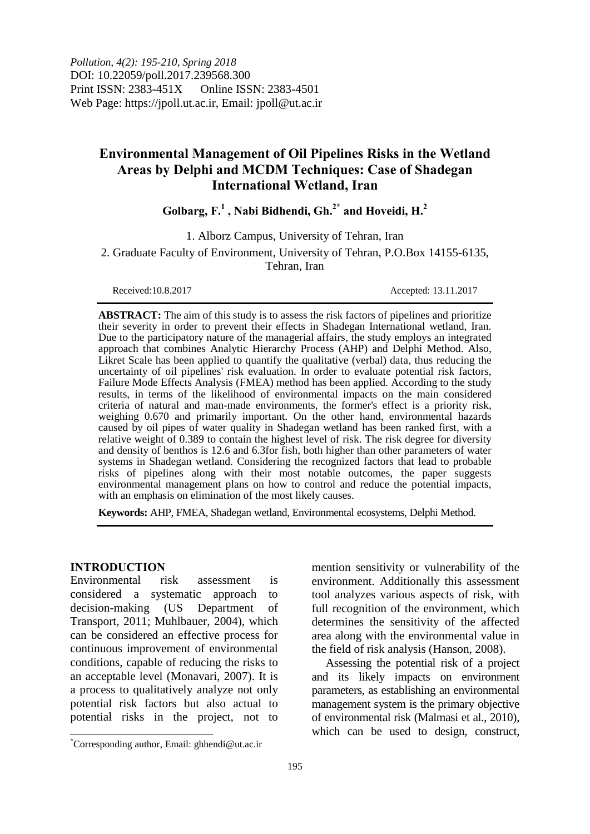*Pollution, 4(2): 195-210, Spring 2018* DOI: 10.22059/poll.2017.239568.300 Print ISSN: 2383-451X Online ISSN: 2383-4501 Web Page: https://jpoll.ut.ac.ir, Email: jpoll@ut.ac.ir

# **Environmental Management of Oil Pipelines Risks in the Wetland Areas by Delphi and MCDM Techniques: Case of Shadegan International Wetland, Iran**

## **Golbarg, F.<sup>1</sup> , Nabi Bidhendi, Gh.2\* and Hoveidi, H.<sup>2</sup>**

1. Alborz Campus, University of Tehran, Iran

2. Graduate Faculty of Environment, University of Tehran, P.O.Box 14155-6135, Tehran, Iran

Received:10.8.2017 Accepted: 13.11.2017

**ABSTRACT:** The aim of this study is to assess the risk factors of pipelines and prioritize their severity in order to prevent their effects in Shadegan International wetland, Iran. Due to the participatory nature of the managerial affairs, the study employs an integrated approach that combines Analytic Hierarchy Process (AHP) and Delphi Method. Also, Likret Scale has been applied to quantify the qualitative (verbal) data, thus reducing the uncertainty of oil pipelines' risk evaluation. In order to evaluate potential risk factors, Failure Mode Effects Analysis (FMEA) method has been applied. According to the study results, in terms of the likelihood of environmental impacts on the main considered criteria of natural and man-made environments, the former's effect is a priority risk, weighing 0.670 and primarily important. On the other hand, environmental hazards caused by oil pipes of water quality in Shadegan wetland has been ranked first, with a relative weight of 0.389 to contain the highest level of risk. The risk degree for diversity and density of benthos is 12.6 and 6.3for fish, both higher than other parameters of water systems in Shadegan wetland. Considering the recognized factors that lead to probable risks of pipelines along with their most notable outcomes, the paper suggests environmental management plans on how to control and reduce the potential impacts, with an emphasis on elimination of the most likely causes.

**Keywords:** AHP, FMEA, Shadegan wetland, Environmental ecosystems, Delphi Method.

### **INTRODUCTION**

 $\overline{\phantom{a}}$ 

Environmental risk assessment is considered a systematic approach to decision-making (US Department of Transport, 2011; Muhlbauer, 2004), which can be considered an effective process for continuous improvement of environmental conditions, capable of reducing the risks to an acceptable level (Monavari, 2007). It is a process to qualitatively analyze not only potential risk factors but also actual to potential risks in the project, not to

mention sensitivity or vulnerability of the environment. Additionally this assessment tool analyzes various aspects of risk, with full recognition of the environment, which determines the sensitivity of the affected area along with the environmental value in the field of risk analysis (Hanson, 2008).

Assessing the potential risk of a project and its likely impacts on environment parameters, as establishing an environmental management system is the primary objective of environmental risk (Malmasi et al., 2010), which can be used to design, construct,

<sup>\*</sup>Corresponding author, Email: ghhendi@ut.ac.ir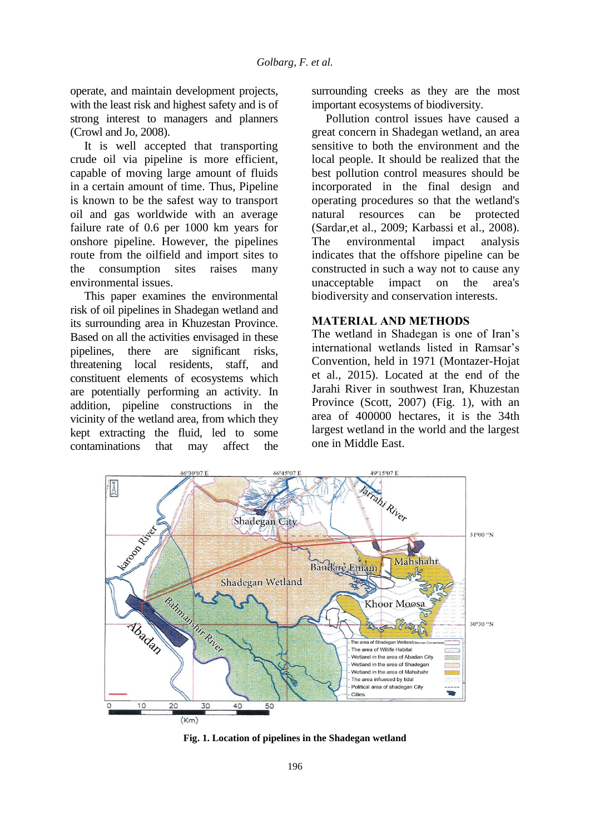operate, and maintain development projects, with the least risk and highest safety and is of strong interest to managers and planners (Crowl and Jo, 2008).

It is well accepted that transporting crude oil via pipeline is more efficient, capable of moving large amount of fluids in a certain amount of time. Thus, Pipeline is known to be the safest way to transport oil and gas worldwide with an average failure rate of 0.6 per 1000 km years for onshore pipeline. However, the pipelines route from the oilfield and import sites to the consumption sites raises many environmental issues.

This paper examines the environmental risk of oil pipelines in Shadegan wetland and its surrounding area in Khuzestan Province. Based on all the activities envisaged in these pipelines, there are significant risks, threatening local residents, staff, and constituent elements of ecosystems which are potentially performing an activity. In addition, pipeline constructions in the vicinity of the wetland area, from which they kept extracting the fluid, led to some contaminations that may affect the

surrounding creeks as they are the most important ecosystems of biodiversity.

Pollution control issues have caused a great concern in Shadegan wetland, an area sensitive to both the environment and the local people. It should be realized that the best pollution control measures should be incorporated in the final design and operating procedures so that the wetland's natural resources can be protected (Sardar,et al., 2009; Karbassi et al., 2008). The environmental impact analysis indicates that the offshore pipeline can be constructed in such a way not to cause any unacceptable impact on the area's biodiversity and conservation interests.

### **MATERIAL AND METHODS**

The wetland in Shadegan is one of Iran's international wetlands listed in Ramsar's Convention, held in 1971 (Montazer-Hojat et al., 2015). Located at the end of the Jarahi River in southwest Iran, Khuzestan Province (Scott, 2007) (Fig. 1), with an area of 400000 hectares, it is the 34th largest wetland in the world and the largest one in Middle East.



**Fig. 1. Location of pipelines in the Shadegan wetland**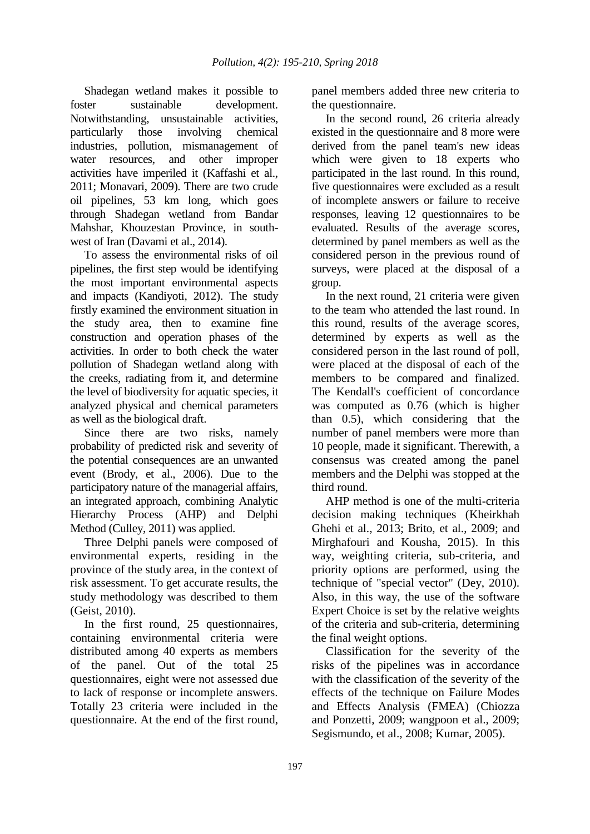Shadegan wetland makes it possible to foster sustainable development. Notwithstanding, unsustainable activities, particularly those involving chemical industries, pollution, mismanagement of water resources, and other improper activities have imperiled it (Kaffashi et al., 2011; Monavari, 2009). There are two crude oil pipelines, 53 km long, which goes through Shadegan wetland from Bandar Mahshar, Khouzestan Province, in southwest of Iran (Davami et al., 2014).

To assess the environmental risks of oil pipelines, the first step would be identifying the most important environmental aspects and impacts (Kandiyoti, 2012). The study firstly examined the environment situation in the study area, then to examine fine construction and operation phases of the activities. In order to both check the water pollution of Shadegan wetland along with the creeks, radiating from it, and determine the level of biodiversity for aquatic species, it analyzed physical and chemical parameters as well as the biological draft.

Since there are two risks, namely probability of predicted risk and severity of the potential consequences are an unwanted event (Brody, et al., 2006). Due to the participatory nature of the managerial affairs, an integrated approach, combining Analytic Hierarchy Process (AHP) and Delphi Method (Culley, 2011) was applied.

Three Delphi panels were composed of environmental experts, residing in the province of the study area, in the context of risk assessment. To get accurate results, the study methodology was described to them (Geist, 2010).

In the first round, 25 questionnaires, containing environmental criteria were distributed among 40 experts as members of the panel. Out of the total 25 questionnaires, eight were not assessed due to lack of response or incomplete answers. Totally 23 criteria were included in the questionnaire. At the end of the first round, panel members added three new criteria to the questionnaire.

In the second round, 26 criteria already existed in the questionnaire and 8 more were derived from the panel team's new ideas which were given to 18 experts who participated in the last round. In this round, five questionnaires were excluded as a result of incomplete answers or failure to receive responses, leaving 12 questionnaires to be evaluated. Results of the average scores, determined by panel members as well as the considered person in the previous round of surveys, were placed at the disposal of a group.

In the next round, 21 criteria were given to the team who attended the last round. In this round, results of the average scores, determined by experts as well as the considered person in the last round of poll, were placed at the disposal of each of the members to be compared and finalized. The Kendall's coefficient of concordance was computed as 0.76 (which is higher than 0.5), which considering that the number of panel members were more than 10 people, made it significant. Therewith, a consensus was created among the panel members and the Delphi was stopped at the third round.

AHP method is one of the multi-criteria decision making techniques (Kheirkhah Ghehi et al., 2013; Brito, et al., 2009; and Mirghafouri and Kousha, 2015). In this way, weighting criteria, sub-criteria, and priority options are performed, using the technique of "special vector" (Dey, 2010). Also, in this way, the use of the software Expert Choice is set by the relative weights of the criteria and sub-criteria, determining the final weight options.

Classification for the severity of the risks of the pipelines was in accordance with the classification of the severity of the effects of the technique on Failure Modes and Effects Analysis (FMEA) (Chiozza and Ponzetti, 2009; wangpoon et al., 2009; Segismundo, et al., 2008; Kumar, 2005).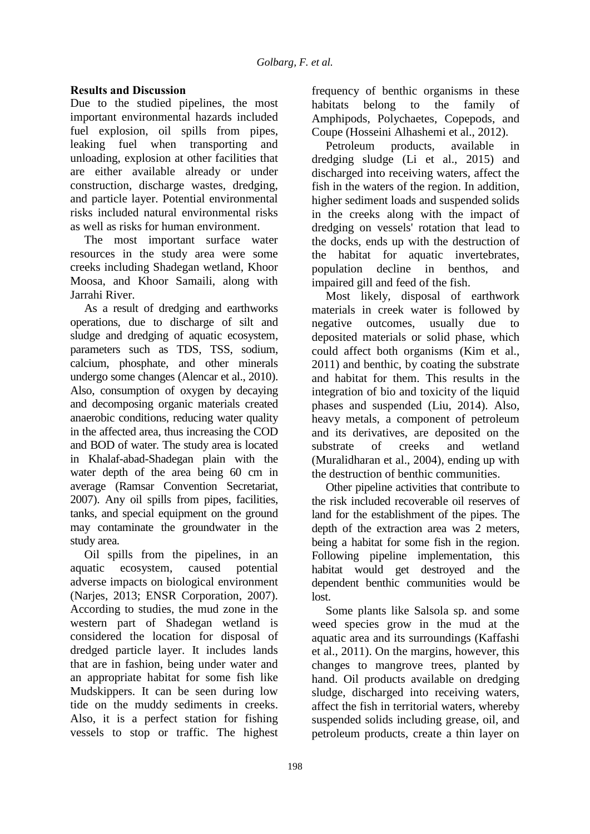## **Results and Discussion**

Due to the studied pipelines, the most important environmental hazards included fuel explosion, oil spills from pipes, leaking fuel when transporting and unloading, explosion at other facilities that are either available already or under construction, discharge wastes, dredging, and particle layer. Potential environmental risks included natural environmental risks as well as risks for human environment.

The most important surface water resources in the study area were some creeks including Shadegan wetland, Khoor Moosa, and Khoor Samaili, along with Jarrahi River.

As a result of dredging and earthworks operations, due to discharge of silt and sludge and dredging of aquatic ecosystem, parameters such as TDS, TSS, sodium, calcium, phosphate, and other minerals undergo some changes (Alencar et al., 2010). Also, consumption of oxygen by decaying and decomposing organic materials created anaerobic conditions, reducing water quality in the affected area, thus increasing the COD and BOD of water. The study area is located in Khalaf-abad-Shadegan plain with the water depth of the area being 60 cm in average (Ramsar Convention Secretariat, 2007). Any oil spills from pipes, facilities, tanks, and special equipment on the ground may contaminate the groundwater in the study area.

Oil spills from the pipelines, in an aquatic ecosystem, caused potential adverse impacts on biological environment (Narjes, 2013; ENSR Corporation, 2007). According to studies, the mud zone in the western part of Shadegan wetland is considered the location for disposal of dredged particle layer. It includes lands that are in fashion, being under water and an appropriate habitat for some fish like Mudskippers. It can be seen during low tide on the muddy sediments in creeks. Also, it is a perfect station for fishing vessels to stop or traffic. The highest

frequency of benthic organisms in these habitats belong to the family of Amphipods, Polychaetes, Copepods, and Coupe (Hosseini Alhashemi et al., 2012).

Petroleum products, available in dredging sludge (Li et al., 2015) and discharged into receiving waters, affect the fish in the waters of the region. In addition, higher sediment loads and suspended solids in the creeks along with the impact of dredging on vessels' rotation that lead to the docks, ends up with the destruction of the habitat for aquatic invertebrates, population decline in benthos, and impaired gill and feed of the fish.

Most likely, disposal of earthwork materials in creek water is followed by negative outcomes, usually due to deposited materials or solid phase, which could affect both organisms (Kim et al., 2011) and benthic, by coating the substrate and habitat for them. This results in the integration of bio and toxicity of the liquid phases and suspended (Liu, 2014). Also, heavy metals, a component of petroleum and its derivatives, are deposited on the substrate of creeks and wetland (Muralidharan et al., 2004), ending up with the destruction of benthic communities.

Other pipeline activities that contribute to the risk included recoverable oil reserves of land for the establishment of the pipes. The depth of the extraction area was 2 meters, being a habitat for some fish in the region. Following pipeline implementation, this habitat would get destroyed and the dependent benthic communities would be lost.

Some plants like Salsola sp. and some weed species grow in the mud at the aquatic area and its surroundings (Kaffashi et al., 2011). On the margins, however, this changes to mangrove trees, planted by hand. Oil products available on dredging sludge, discharged into receiving waters, affect the fish in territorial waters, whereby suspended solids including grease, oil, and petroleum products, create a thin layer on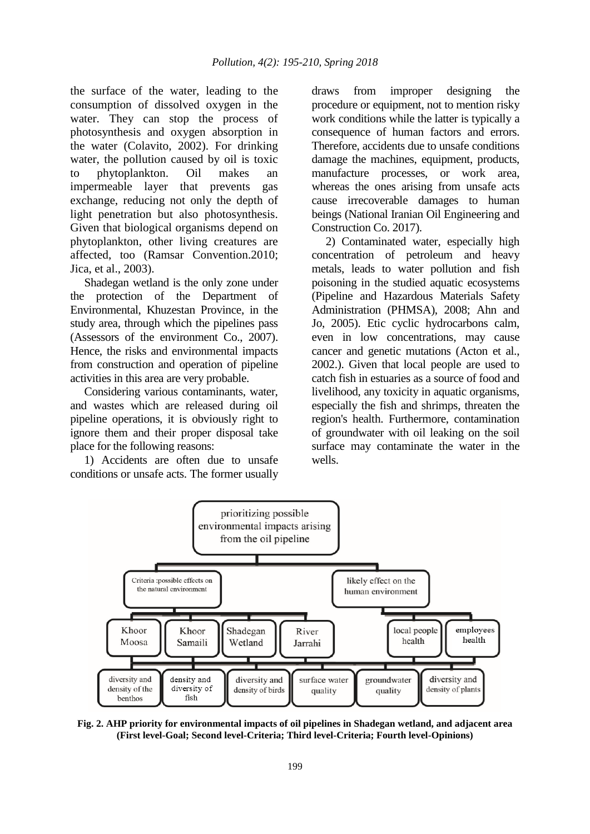the surface of the water, leading to the consumption of dissolved oxygen in the water. They can stop the process of photosynthesis and oxygen absorption in the water (Colavito, 2002). For drinking water, the pollution caused by oil is toxic to phytoplankton. Oil makes an impermeable layer that prevents gas exchange, reducing not only the depth of light penetration but also photosynthesis. Given that biological organisms depend on phytoplankton, other living creatures are affected, too (Ramsar Convention.2010; Jica, et al., 2003).

Shadegan wetland is the only zone under the protection of the Department of Environmental, Khuzestan Province, in the study area, through which the pipelines pass (Assessors of the environment Co., 2007). Hence, the risks and environmental impacts from construction and operation of pipeline activities in this area are very probable.

Considering various contaminants, water, and wastes which are released during oil pipeline operations, it is obviously right to ignore them and their proper disposal take place for the following reasons:

1) Accidents are often due to unsafe conditions or unsafe acts. The former usually draws from improper designing the procedure or equipment, not to mention risky work conditions while the latter is typically a consequence of human factors and errors. Therefore, accidents due to unsafe conditions damage the machines, equipment, products, manufacture processes, or work area, whereas the ones arising from unsafe acts cause irrecoverable damages to human beings (National Iranian Oil Engineering and Construction Co. 2017).

2) Contaminated water, especially high concentration of petroleum and heavy metals, leads to water pollution and fish poisoning in the studied aquatic ecosystems (Pipeline and Hazardous Materials Safety Administration (PHMSA), 2008; Ahn and Jo, 2005). Etic cyclic hydrocarbons calm, even in low concentrations, may cause cancer and genetic mutations (Acton et al., 2002.). Given that local people are used to catch fish in estuaries as a source of food and livelihood, any toxicity in aquatic organisms, especially the fish and shrimps, threaten the region's health. Furthermore, contamination of groundwater with oil leaking on the soil surface may contaminate the water in the wells.



**Fig. 2. AHP priority for environmental impacts of oil pipelines in Shadegan wetland, and adjacent area (First level-Goal; Second level-Criteria; Third level-Criteria; Fourth level-Opinions)**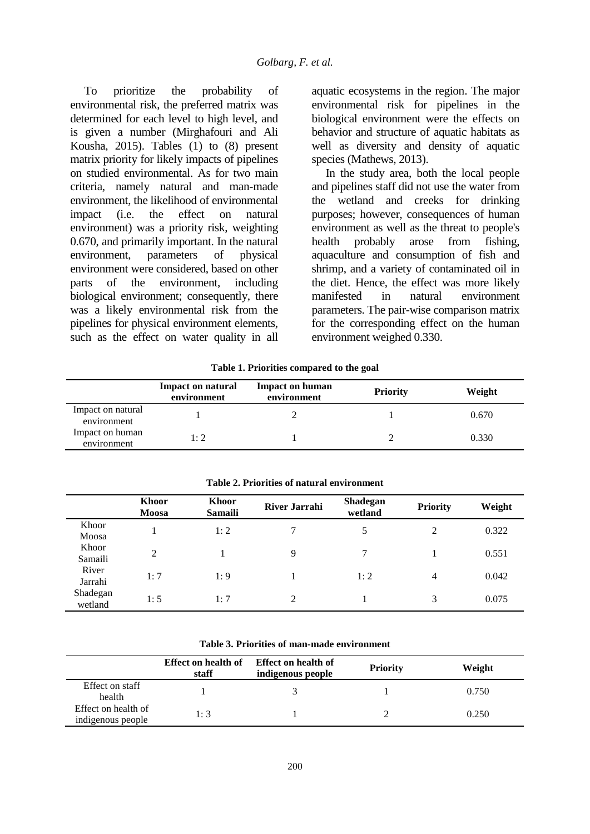To prioritize the probability of environmental risk, the preferred matrix was determined for each level to high level, and is given a number (Mirghafouri and Ali Kousha, 2015). Tables (1) to (8) present matrix priority for likely impacts of pipelines on studied environmental. As for two main criteria, namely natural and man-made environment, the likelihood of environmental impact (i.e. the effect on natural environment) was a priority risk, weighting 0.670, and primarily important. In the natural environment, parameters of physical environment were considered, based on other parts of the environment, including biological environment; consequently, there was a likely environmental risk from the pipelines for physical environment elements, such as the effect on water quality in all

aquatic ecosystems in the region. The major environmental risk for pipelines in the biological environment were the effects on behavior and structure of aquatic habitats as well as diversity and density of aquatic species (Mathews, 2013).

In the study area, both the local people and pipelines staff did not use the water from the wetland and creeks for drinking purposes; however, consequences of human environment as well as the threat to people's health probably arose from fishing, aquaculture and consumption of fish and shrimp, and a variety of contaminated oil in the diet. Hence, the effect was more likely manifested in natural environment parameters. The pair-wise comparison matrix for the corresponding effect on the human environment weighed 0.330.

**Table 1. Priorities compared to the goal**

|                                  | <b>Impact on natural</b><br>environment | <b>Impact on human</b><br>environment | <b>Priority</b> | Weight |
|----------------------------------|-----------------------------------------|---------------------------------------|-----------------|--------|
| Impact on natural<br>environment |                                         |                                       |                 | 0.670  |
| Impact on human<br>environment   | 1:2                                     |                                       |                 | 0.330  |

|                     | Khoor<br>Moosa | <b>Khoor</b><br><b>Samaili</b> | <b>River Jarrahi</b> | Shadegan<br>wetland | <b>Priority</b> | Weight |
|---------------------|----------------|--------------------------------|----------------------|---------------------|-----------------|--------|
| Khoor<br>Moosa      |                | 1:2                            |                      | 5                   | 2               | 0.322  |
| Khoor<br>Samaili    | $\overline{2}$ |                                | 9                    | 7                   |                 | 0.551  |
| River<br>Jarrahi    | 1:7            | 1:9                            |                      | 1:2                 | $\overline{4}$  | 0.042  |
| Shadegan<br>wetland | 1:5            | 1:7                            | $\mathfrak{D}$       |                     | 3               | 0.075  |

**Table 2. Priorities of natural environment**

|                                          | Effect on health of<br>staff | Effect on health of<br>indigenous people | <b>Priority</b> | Weight |
|------------------------------------------|------------------------------|------------------------------------------|-----------------|--------|
| Effect on staff<br>health                |                              |                                          |                 | 0.750  |
| Effect on health of<br>indigenous people | 1:3                          |                                          |                 | 0.250  |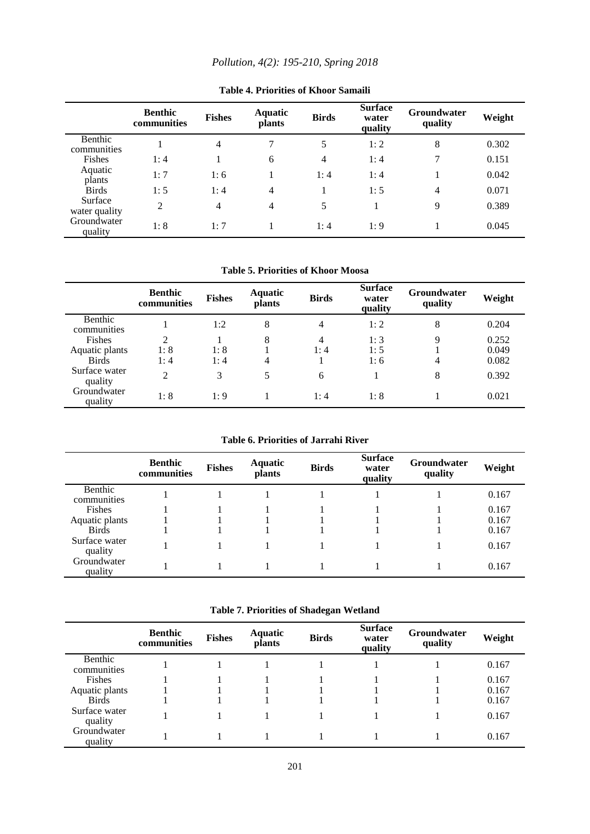|                          | <b>Benthic</b><br>communities | <b>Fishes</b>  | <b>Aquatic</b><br><i>plants</i> | <b>Birds</b>   | <b>Surface</b><br>water<br>quality | <b>Groundwater</b><br>quality | Weight |
|--------------------------|-------------------------------|----------------|---------------------------------|----------------|------------------------------------|-------------------------------|--------|
| Benthic<br>communities   |                               | $\overline{4}$ | 7                               | 5              | 1:2                                | 8                             | 0.302  |
| Fishes                   | 1:4                           |                | 6                               | $\overline{4}$ | 1:4                                | 7                             | 0.151  |
| Aquatic<br>plants        | 1:7                           | 1:6            |                                 | 1:4            | 1:4                                |                               | 0.042  |
| <b>Birds</b>             | 1:5                           | 1:4            | $\overline{4}$                  |                | 1:5                                | $\overline{4}$                | 0.071  |
| Surface<br>water quality | $\overline{2}$                | $\overline{4}$ | 4                               | 5              |                                    | 9                             | 0.389  |
| Groundwater<br>quality   | 1:8                           | 1:7            |                                 | 1:4            | 1:9                                |                               | 0.045  |

**Table 4. Priorities of Khoor Samaili**

**Table 5. Priorities of Khoor Moosa**

|                          | <b>Benthic</b><br>communities | <b>Fishes</b> | Aquatic<br><b>plants</b> | <b>Birds</b> | <b>Surface</b><br>water<br>quality | Groundwater<br>quality | Weight |
|--------------------------|-------------------------------|---------------|--------------------------|--------------|------------------------------------|------------------------|--------|
| Benthic<br>communities   |                               | 1:2           | 8                        | 4            | 1:2                                | 8                      | 0.204  |
| Fishes                   | $\overline{2}$                |               | 8                        | 4            | 1:3                                | 9                      | 0.252  |
| Aquatic plants           | 1:8                           | 1:8           |                          | l: 4         | 1:5                                |                        | 0.049  |
| <b>Birds</b>             | 1: 4                          | 1:4           | 4                        |              | 1:6                                | 4                      | 0.082  |
| Surface water<br>quality | $\overline{2}$                | 3             | 5                        | 6            |                                    | 8                      | 0.392  |
| Groundwater<br>quality   | 1:8                           | 1:9           |                          | 1:4          | 1:8                                |                        | 0.021  |

**Table 6. Priorities of Jarrahi River**

|                          | <b>Benthic</b><br>communities | <b>Fishes</b> | Aquatic<br><b>plants</b> | <b>Birds</b> | <b>Surface</b><br>water<br>quality | <b>Groundwater</b><br>quality | Weight |
|--------------------------|-------------------------------|---------------|--------------------------|--------------|------------------------------------|-------------------------------|--------|
| Benthic<br>communities   |                               |               |                          |              |                                    |                               | 0.167  |
| Fishes                   |                               |               |                          |              |                                    |                               | 0.167  |
| Aquatic plants           |                               |               |                          |              |                                    |                               | 0.167  |
| <b>Birds</b>             |                               |               |                          |              |                                    |                               | 0.167  |
| Surface water<br>quality |                               |               |                          |              |                                    |                               | 0.167  |
| Groundwater<br>quality   |                               |               |                          |              |                                    |                               | 0.167  |

**Table 7. Priorities of Shadegan Wetland** 

|                          | <b>Benthic</b><br>communities | <b>Fishes</b> | Aquatic<br>plants | <b>Birds</b> | <b>Surface</b><br>water<br>quality | <b>Groundwater</b><br>quality | Weight |
|--------------------------|-------------------------------|---------------|-------------------|--------------|------------------------------------|-------------------------------|--------|
| Benthic<br>communities   |                               |               |                   |              |                                    |                               | 0.167  |
| Fishes                   |                               |               |                   |              |                                    |                               | 0.167  |
| Aquatic plants           |                               |               |                   |              |                                    |                               | 0.167  |
| <b>Birds</b>             |                               |               |                   |              |                                    |                               | 0.167  |
| Surface water<br>quality |                               |               |                   |              |                                    |                               | 0.167  |
| Groundwater<br>quality   |                               |               |                   |              |                                    |                               | 0.167  |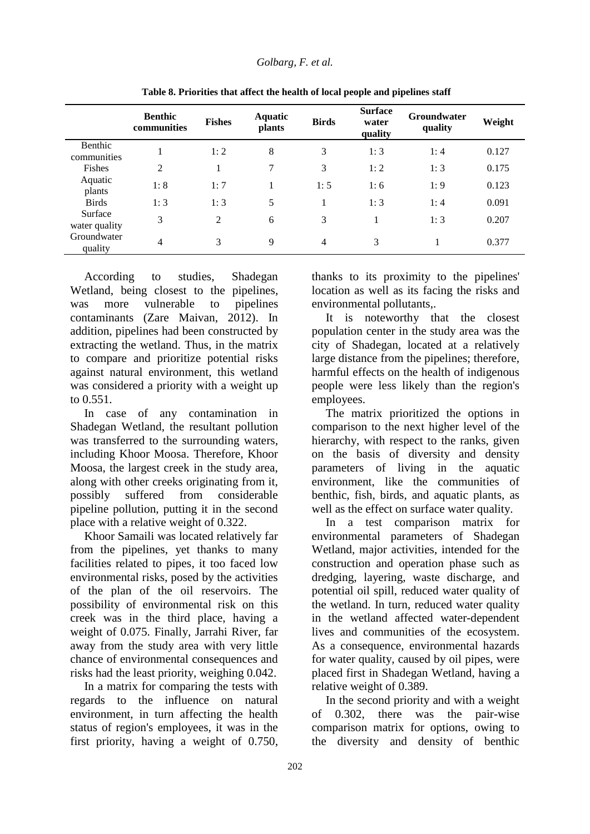|                          | <b>Benthic</b><br>communities | <b>Fishes</b> | <b>Aquatic</b><br><b>plants</b> | <b>Birds</b>   | <b>Surface</b><br>water<br>quality | <b>Groundwater</b><br>quality | Weight |
|--------------------------|-------------------------------|---------------|---------------------------------|----------------|------------------------------------|-------------------------------|--------|
| Benthic<br>communities   | 1                             | 1:2           | 8                               | 3              | 1:3                                | 1:4                           | 0.127  |
| Fishes                   | $\overline{2}$                | 1             | $\overline{7}$                  | 3              | 1:2                                | 1:3                           | 0.175  |
| Aquatic<br>plants        | 1:8                           | 1:7           | 1                               | 1:5            | 1:6                                | 1:9                           | 0.123  |
| <b>Birds</b>             | 1:3                           | 1:3           | 5                               | 1              | 1:3                                | 1:4                           | 0.091  |
| Surface<br>water quality | 3                             | 2             | 6                               | 3              | 1                                  | 1:3                           | 0.207  |
| Groundwater<br>quality   | $\overline{4}$                | 3             | 9                               | $\overline{4}$ | 3                                  |                               | 0.377  |

**Table 8. Priorities that affect the health of local people and pipelines staff**

According to studies, Shadegan Wetland, being closest to the pipelines, was more vulnerable to pipelines contaminants (Zare Maivan, 2012). In addition, pipelines had been constructed by extracting the wetland. Thus, in the matrix to compare and prioritize potential risks against natural environment, this wetland was considered a priority with a weight up to 0.551.

In case of any contamination in Shadegan Wetland, the resultant pollution was transferred to the surrounding waters, including Khoor Moosa. Therefore, Khoor Moosa, the largest creek in the study area, along with other creeks originating from it, possibly suffered from considerable pipeline pollution, putting it in the second place with a relative weight of 0.322.

Khoor Samaili was located relatively far from the pipelines, yet thanks to many facilities related to pipes, it too faced low environmental risks, posed by the activities of the plan of the oil reservoirs. The possibility of environmental risk on this creek was in the third place, having a weight of 0.075. Finally, Jarrahi River, far away from the study area with very little chance of environmental consequences and risks had the least priority, weighing 0.042.

In a matrix for comparing the tests with regards to the influence on natural environment, in turn affecting the health status of region's employees, it was in the first priority, having a weight of 0.750, thanks to its proximity to the pipelines' location as well as its facing the risks and environmental pollutants,.

It is noteworthy that the closest population center in the study area was the city of Shadegan, located at a relatively large distance from the pipelines; therefore, harmful effects on the health of indigenous people were less likely than the region's employees.

The matrix prioritized the options in comparison to the next higher level of the hierarchy, with respect to the ranks, given on the basis of diversity and density parameters of living in the aquatic environment, like the communities of benthic, fish, birds, and aquatic plants, as well as the effect on surface water quality.

In a test comparison matrix for environmental parameters of Shadegan Wetland, major activities, intended for the construction and operation phase such as dredging, layering, waste discharge, and potential oil spill, reduced water quality of the wetland. In turn, reduced water quality in the wetland affected water-dependent lives and communities of the ecosystem. As a consequence, environmental hazards for water quality, caused by oil pipes, were placed first in Shadegan Wetland, having a relative weight of 0.389.

In the second priority and with a weight of 0.302, there was the pair-wise comparison matrix for options, owing to the diversity and density of benthic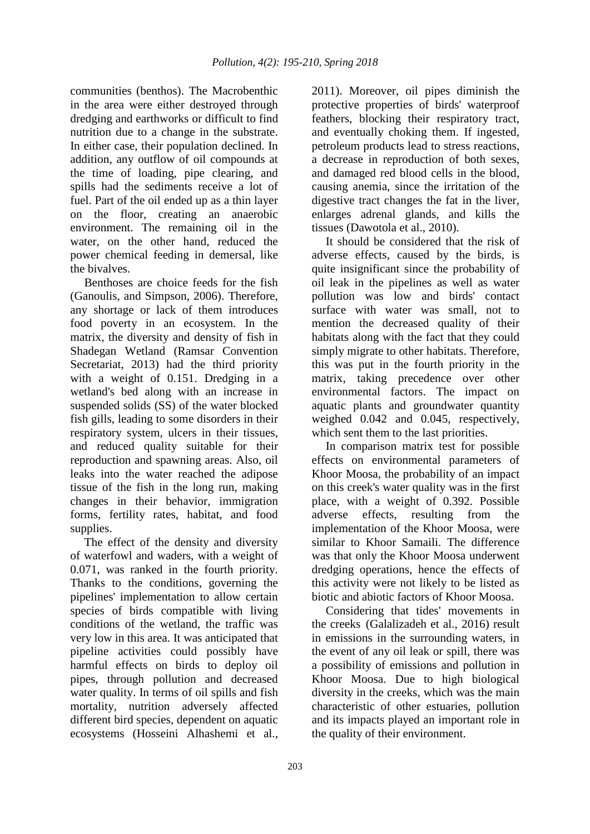communities (benthos). The Macrobenthic in the area were either destroyed through dredging and earthworks or difficult to find nutrition due to a change in the substrate. In either case, their population declined. In addition, any outflow of oil compounds at the time of loading, pipe clearing, and spills had the sediments receive a lot of fuel. Part of the oil ended up as a thin layer on the floor, creating an anaerobic environment. The remaining oil in the water, on the other hand, reduced the power chemical feeding in demersal, like the bivalves.

Benthoses are choice feeds for the fish (Ganoulis, and Simpson, 2006). Therefore, any shortage or lack of them introduces food poverty in an ecosystem. In the matrix, the diversity and density of fish in Shadegan Wetland (Ramsar Convention Secretariat, 2013) had the third priority with a weight of 0.151. Dredging in a wetland's bed along with an increase in suspended solids (SS) of the water blocked fish gills, leading to some disorders in their respiratory system, ulcers in their tissues, and reduced quality suitable for their reproduction and spawning areas. Also, oil leaks into the water reached the adipose tissue of the fish in the long run, making changes in their behavior, immigration forms, fertility rates, habitat, and food supplies.

The effect of the density and diversity of waterfowl and waders, with a weight of 0.071, was ranked in the fourth priority. Thanks to the conditions, governing the pipelines' implementation to allow certain species of birds compatible with living conditions of the wetland, the traffic was very low in this area. It was anticipated that pipeline activities could possibly have harmful effects on birds to deploy oil pipes, through pollution and decreased water quality. In terms of oil spills and fish mortality, nutrition adversely affected different bird species, dependent on aquatic ecosystems (Hosseini Alhashemi et al.,

2011). Moreover, oil pipes diminish the protective properties of birds' waterproof feathers, blocking their respiratory tract, and eventually choking them. If ingested, petroleum products lead to stress reactions, a decrease in reproduction of both sexes, and damaged red blood cells in the blood, causing anemia, since the irritation of the digestive tract changes the fat in the liver, enlarges adrenal glands, and kills the tissues (Dawotola et al., 2010).

It should be considered that the risk of adverse effects, caused by the birds, is quite insignificant since the probability of oil leak in the pipelines as well as water pollution was low and birds' contact surface with water was small, not to mention the decreased quality of their habitats along with the fact that they could simply migrate to other habitats. Therefore, this was put in the fourth priority in the matrix, taking precedence over other environmental factors. The impact on aquatic plants and groundwater quantity weighed 0.042 and 0.045, respectively, which sent them to the last priorities.

In comparison matrix test for possible effects on environmental parameters of Khoor Moosa, the probability of an impact on this creek's water quality was in the first place, with a weight of 0.392. Possible adverse effects, resulting from the implementation of the Khoor Moosa, were similar to Khoor Samaili. The difference was that only the Khoor Moosa underwent dredging operations, hence the effects of this activity were not likely to be listed as biotic and abiotic factors of Khoor Moosa.

Considering that tides' movements in the creeks (Galalizadeh et al., 2016) result in emissions in the surrounding waters, in the event of any oil leak or spill, there was a possibility of emissions and pollution in Khoor Moosa. Due to high biological diversity in the creeks, which was the main characteristic of other estuaries, pollution and its impacts played an important role in the quality of their environment.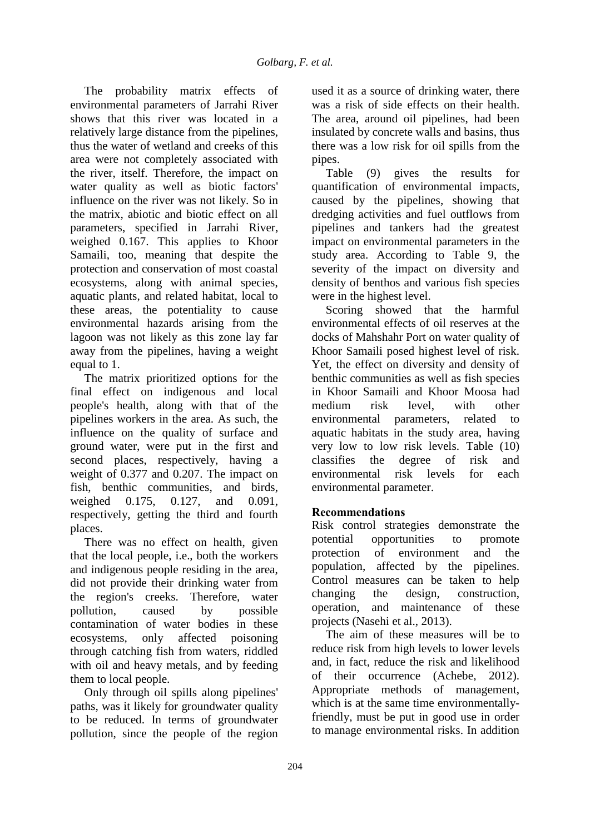The probability matrix effects of environmental parameters of Jarrahi River shows that this river was located in a relatively large distance from the pipelines, thus the water of wetland and creeks of this area were not completely associated with the river, itself. Therefore, the impact on water quality as well as biotic factors' influence on the river was not likely. So in the matrix, abiotic and biotic effect on all parameters, specified in Jarrahi River, weighed 0.167. This applies to Khoor Samaili, too, meaning that despite the protection and conservation of most coastal ecosystems, along with animal species, aquatic plants, and related habitat, local to these areas, the potentiality to cause environmental hazards arising from the lagoon was not likely as this zone lay far away from the pipelines, having a weight equal to 1.

The matrix prioritized options for the final effect on indigenous and local people's health, along with that of the pipelines workers in the area. As such, the influence on the quality of surface and ground water, were put in the first and second places, respectively, having a weight of 0.377 and 0.207. The impact on fish, benthic communities, and birds, weighed 0.175, 0.127, and 0.091, respectively, getting the third and fourth places.

There was no effect on health, given that the local people, i.e., both the workers and indigenous people residing in the area, did not provide their drinking water from the region's creeks. Therefore, water pollution, caused by possible contamination of water bodies in these ecosystems, only affected poisoning through catching fish from waters, riddled with oil and heavy metals, and by feeding them to local people.

Only through oil spills along pipelines' paths, was it likely for groundwater quality to be reduced. In terms of groundwater pollution, since the people of the region used it as a source of drinking water, there was a risk of side effects on their health. The area, around oil pipelines, had been insulated by concrete walls and basins, thus there was a low risk for oil spills from the pipes.

Table (9) gives the results for quantification of environmental impacts, caused by the pipelines, showing that dredging activities and fuel outflows from pipelines and tankers had the greatest impact on environmental parameters in the study area. According to Table 9, the severity of the impact on diversity and density of benthos and various fish species were in the highest level.

Scoring showed that the harmful environmental effects of oil reserves at the docks of Mahshahr Port on water quality of Khoor Samaili posed highest level of risk. Yet, the effect on diversity and density of benthic communities as well as fish species in Khoor Samaili and Khoor Moosa had medium risk level, with other environmental parameters, related to aquatic habitats in the study area, having very low to low risk levels. Table (10) classifies the degree of risk and environmental risk levels for each environmental parameter.

## **Recommendations**

Risk control strategies demonstrate the potential opportunities to promote protection of environment and the population, affected by the pipelines. Control measures can be taken to help changing the design, construction, operation, and maintenance of these projects (Nasehi et al., 2013).

The aim of these measures will be to reduce risk from high levels to lower levels and, in fact, reduce the risk and likelihood of their occurrence (Achebe, 2012). Appropriate methods of management, which is at the same time environmentallyfriendly, must be put in good use in order to manage environmental risks. In addition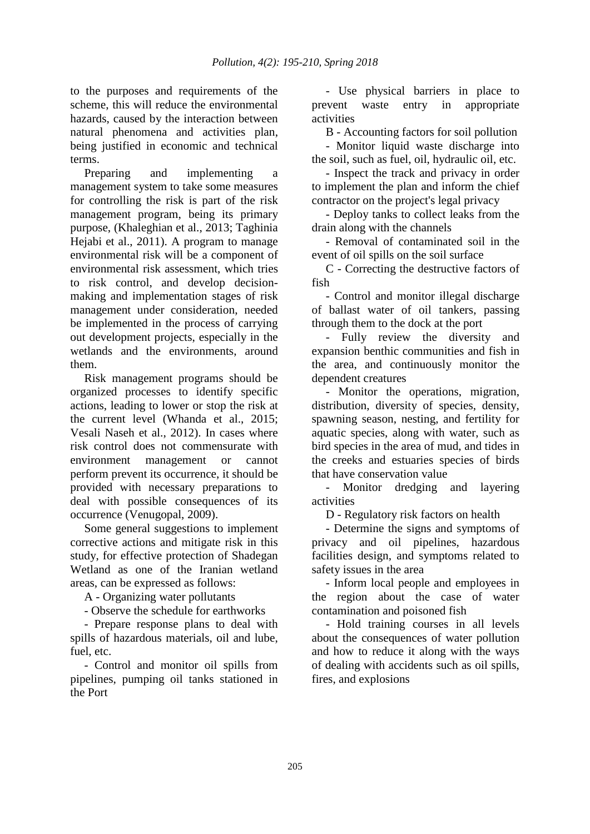to the purposes and requirements of the scheme, this will reduce the environmental hazards, caused by the interaction between natural phenomena and activities plan, being justified in economic and technical terms.

Preparing and implementing a management system to take some measures for controlling the risk is part of the risk management program, being its primary purpose, (Khaleghian et al., 2013; Taghinia Hejabi et al., 2011). A program to manage environmental risk will be a component of environmental risk assessment, which tries to risk control, and develop decisionmaking and implementation stages of risk management under consideration, needed be implemented in the process of carrying out development projects, especially in the wetlands and the environments, around them.

Risk management programs should be organized processes to identify specific actions, leading to lower or stop the risk at the current level (Whanda et al., 2015; Vesali Naseh et al., 2012). In cases where risk control does not commensurate with environment management or cannot perform prevent its occurrence, it should be provided with necessary preparations to deal with possible consequences of its occurrence (Venugopal, 2009).

Some general suggestions to implement corrective actions and mitigate risk in this study, for effective protection of Shadegan Wetland as one of the Iranian wetland areas, can be expressed as follows:

A - Organizing water pollutants

- Observe the schedule for earthworks

- Prepare response plans to deal with spills of hazardous materials, oil and lube, fuel, etc.

- Control and monitor oil spills from pipelines, pumping oil tanks stationed in the Port

- Use physical barriers in place to prevent waste entry in appropriate activities

B - Accounting factors for soil pollution

- Monitor liquid waste discharge into the soil, such as fuel, oil, hydraulic oil, etc.

- Inspect the track and privacy in order to implement the plan and inform the chief contractor on the project's legal privacy

- Deploy tanks to collect leaks from the drain along with the channels

- Removal of contaminated soil in the event of oil spills on the soil surface

C - Correcting the destructive factors of fish

- Control and monitor illegal discharge of ballast water of oil tankers, passing through them to the dock at the port

- Fully review the diversity and expansion benthic communities and fish in the area, and continuously monitor the dependent creatures

- Monitor the operations, migration, distribution, diversity of species, density, spawning season, nesting, and fertility for aquatic species, along with water, such as bird species in the area of mud, and tides in the creeks and estuaries species of birds that have conservation value

- Monitor dredging and layering activities

D - Regulatory risk factors on health

- Determine the signs and symptoms of privacy and oil pipelines, hazardous facilities design, and symptoms related to safety issues in the area

- Inform local people and employees in the region about the case of water contamination and poisoned fish

- Hold training courses in all levels about the consequences of water pollution and how to reduce it along with the ways of dealing with accidents such as oil spills, fires, and explosions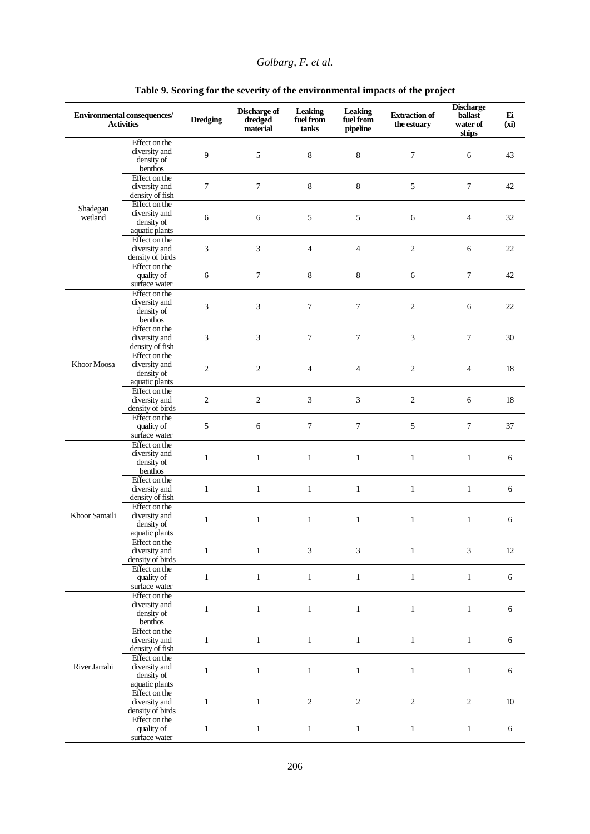|                     | <b>Environmental consequences/</b><br><b>Activities</b>        | <b>Dredging</b> | Discharge of<br>dredged<br>material | <b>Leaking</b><br>fuel from<br>tanks | Leaking<br>fuel from<br>pipeline | <b>Extraction of</b><br>the estuary | <b>Discharge</b><br>ballast<br>water of<br>ships | Ei<br>(xi) |
|---------------------|----------------------------------------------------------------|-----------------|-------------------------------------|--------------------------------------|----------------------------------|-------------------------------------|--------------------------------------------------|------------|
|                     | Effect on the<br>diversity and<br>density of<br>benthos        | 9               | 5                                   | 8                                    | 8                                | $\overline{7}$                      | 6                                                | 43         |
|                     | Effect on the<br>diversity and<br>density of fish              | 7               | $\tau$                              | $\,8\,$                              | $\,8\,$                          | 5                                   | $\tau$                                           | 42         |
| Shadegan<br>wetland | Effect on the<br>diversity and<br>density of<br>aquatic plants | 6               | 6                                   | 5                                    | 5                                | 6                                   | $\overline{4}$                                   | 32         |
|                     | Effect on the<br>diversity and<br>density of birds             | 3               | 3                                   | $\overline{4}$                       | $\overline{4}$                   | $\overline{c}$                      | 6                                                | 22         |
|                     | Effect on the<br>quality of<br>surface water                   | 6               | $\boldsymbol{7}$                    | 8                                    | $\,8\,$                          | 6                                   | $\overline{7}$                                   | 42         |
|                     | Effect on the<br>diversity and<br>density of<br>benthos        | 3               | 3                                   | 7                                    | $\overline{7}$                   | $\mathfrak{2}$                      | 6                                                | 22         |
|                     | Effect on the<br>diversity and<br>density of fish              | 3               | $\overline{3}$                      | $\boldsymbol{7}$                     | $\overline{7}$                   | 3                                   | $\overline{7}$                                   | 30         |
| Khoor Moosa         | Effect on the<br>diversity and<br>density of<br>aquatic plants | $\overline{c}$  | $\sqrt{2}$                          | $\overline{4}$                       | $\overline{4}$                   | $\sqrt{2}$                          | $\overline{4}$                                   | 18         |
|                     | Effect on the<br>diversity and<br>density of birds             | $\overline{c}$  | $\sqrt{2}$                          | 3                                    | 3                                | $\sqrt{2}$                          | 6                                                | 18         |
|                     | Effect on the<br>quality of<br>surface water                   | 5               | 6                                   | $\overline{7}$                       | $\overline{7}$                   | 5                                   | $\overline{7}$                                   | 37         |
|                     | Effect on the<br>diversity and<br>density of<br>benthos        | $\mathbf{1}$    | $\mathbf{1}$                        | $\mathbf{1}$                         | $\mathbf{1}$                     | $\mathbf{1}$                        | $\mathbf{1}$                                     | 6          |
|                     | Effect on the<br>diversity and<br>density of fish              | $\mathbf{1}$    | $\mathbf{1}$                        | $\mathbf{1}$                         | $\mathbf{1}$                     | $\mathbf{1}$                        | $\mathbf{1}$                                     | 6          |
| Khoor Samaili       | Effect on the<br>diversity and<br>density of<br>aquatic plants | $\mathbf{1}$    | $\mathbf{1}$                        | $\mathbf{1}$                         | $\mathbf{1}$                     | $\mathbf{1}$                        | $\mathbf{1}$                                     | 6          |
|                     | Effect on the<br>diversity and<br>density of birds             | $\mathbf{1}$    | $\mathbf{1}$                        | 3                                    | $\mathfrak{Z}$                   | $\mathbf{1}$                        | 3                                                | 12         |
|                     | Effect on the<br>quality of<br>surface water                   | $\mathbf{1}$    | $\mathbf{1}$                        | $1\,$                                | $1\,$                            | $\mathbf{1}$                        | $\mathbf{1}$                                     | 6          |
|                     | Effect on the<br>diversity and<br>density of<br>benthos        | $\mathbf{1}$    | $1\,$                               | $\,1$                                | $\,1\,$                          | $\mathbf{1}$                        | $\,1$                                            | 6          |
|                     | Effect on the<br>diversity and<br>density of fish              | $\mathbf{1}$    | $\mathbf{1}$                        | $\mathbf{1}$                         | $\mathbf{1}$                     | $\mathbf{1}$                        | $\,1$                                            | 6          |
| River Jarrahi       | Effect on the<br>diversity and<br>density of<br>aquatic plants | $\,1$           | $\,1\,$                             | $\mathbf{1}$                         | $1\,$                            | $\mathbf{1}$                        | $\mathbf{1}$                                     | 6          |
|                     | Effect on the<br>diversity and<br>density of birds             | $\mathbf{1}$    | $\mathbf{1}$                        | $\sqrt{2}$                           | $\sqrt{2}$                       | $\sqrt{2}$                          | $\sqrt{2}$                                       | 10         |
|                     | Effect on the<br>quality of<br>surface water                   | $\mathbf{1}$    | $\mathbf{1}$                        | $\mathbf{1}$                         | $\mathbf{1}$                     | $\mathbf{1}$                        | $\mathbf{1}$                                     | 6          |

## **Table 9. Scoring for the severity of the environmental impacts of the project**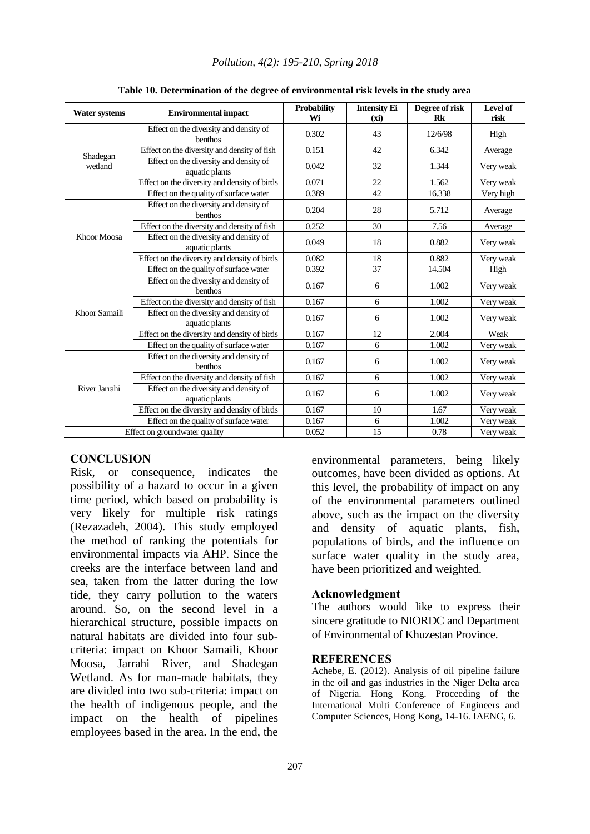| <b>Water systems</b> | <b>Environmental impact</b>                              | <b>Probability</b><br>Wi | <b>Intensity Ei</b><br>(xi) | Degree of risk<br>Rk | Level of<br>risk |
|----------------------|----------------------------------------------------------|--------------------------|-----------------------------|----------------------|------------------|
|                      | Effect on the diversity and density of<br>benthos        | 0.302                    | 43                          | 12/6/98              | High             |
|                      | Effect on the diversity and density of fish              | 0.151                    | 42                          | 6.342                | Average          |
| Shadegan<br>wetland  | Effect on the diversity and density of<br>aquatic plants | 0.042                    | 32                          | 1.344                | Very weak        |
|                      | Effect on the diversity and density of birds             | 0.071                    | 22                          | 1.562                | Very weak        |
|                      | Effect on the quality of surface water                   | 0.389                    | 42                          | 16.338               | Very high        |
|                      | Effect on the diversity and density of<br>benthos        | 0.204                    | 28                          | 5.712                | Average          |
|                      | Effect on the diversity and density of fish              | 0.252                    | 30                          | 7.56                 | Average          |
| Khoor Moosa          | Effect on the diversity and density of<br>aquatic plants | 0.049                    | 18                          | 0.882                | Very weak        |
|                      | Effect on the diversity and density of birds             | 0.082                    | 18                          | 0.882                | Very weak        |
|                      | Effect on the quality of surface water                   | 0.392                    | 37                          | 14.504               | High             |
|                      | Effect on the diversity and density of<br>benthos        | 0.167                    | 6                           | 1.002                | Very weak        |
|                      | Effect on the diversity and density of fish              | 0.167                    | 6                           | 1.002                | Very weak        |
| Khoor Samaili        | Effect on the diversity and density of<br>aquatic plants | 0.167                    | 6                           | 1.002                | Very weak        |
|                      | Effect on the diversity and density of birds             | 0.167                    | 12                          | 2.004                | Weak             |
|                      | Effect on the quality of surface water                   | 0.167                    | 6                           | 1.002                | Very weak        |
|                      | Effect on the diversity and density of<br>benthos        | 0.167                    | 6                           | 1.002                | Very weak        |
|                      | Effect on the diversity and density of fish              | 0.167                    | 6                           | 1.002                | Very weak        |
| River Jarrahi        | Effect on the diversity and density of<br>aquatic plants | 0.167                    | 6                           | 1.002                | Very weak        |
|                      | Effect on the diversity and density of birds             | 0.167                    | 10                          | 1.67                 | Very weak        |
|                      | Effect on the quality of surface water                   | 0.167                    | 6                           | 1.002                | Very weak        |
|                      | Effect on groundwater quality                            | 0.052                    | 15                          | 0.78                 | Very weak        |

#### *Pollution, 4(2): 195-210, Spring 2018*

#### **Table 10. Determination of the degree of environmental risk levels in the study area**

#### **CONCLUSION**

Risk, or consequence, indicates the possibility of a hazard to occur in a given time period, which based on probability is very likely for multiple risk ratings (Rezazadeh, 2004). This study employed the method of ranking the potentials for environmental impacts via AHP. Since the creeks are the interface between land and sea, taken from the latter during the low tide, they carry pollution to the waters around. So, on the second level in a hierarchical structure, possible impacts on natural habitats are divided into four subcriteria: impact on Khoor Samaili, Khoor Moosa, Jarrahi River, and Shadegan Wetland. As for man-made habitats, they are divided into two sub-criteria: impact on the health of indigenous people, and the impact on the health of pipelines employees based in the area. In the end, the

environmental parameters, being likely outcomes, have been divided as options. At this level, the probability of impact on any of the environmental parameters outlined above, such as the impact on the diversity and density of aquatic plants, fish, populations of birds, and the influence on surface water quality in the study area, have been prioritized and weighted.

#### **Acknowledgment**

The authors would like to express their sincere gratitude to NIORDC and Department of Environmental of Khuzestan Province.

#### **REFERENCES**

Achebe, E. (2012). Analysis of oil pipeline failure in the oil and gas industries in the Niger Delta area of Nigeria. Hong Kong. Proceeding of the International Multi Conference of Engineers and Computer Sciences, Hong Kong, 14-16. IAENG, 6.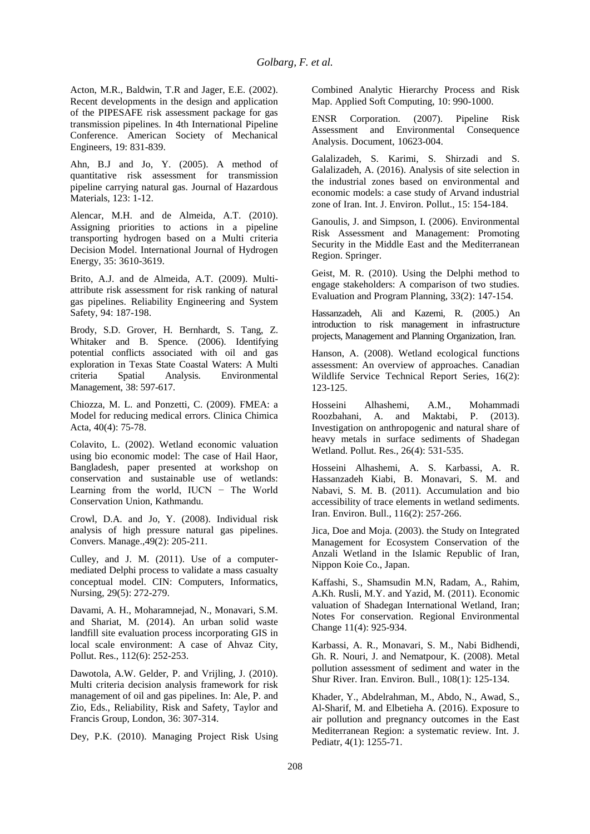Acton, M.R., Baldwin, T.R and Jager, E.E. (2002). Recent developments in the design and application of the PIPESAFE risk assessment package for gas transmission pipelines. In 4th International Pipeline Conference. American Society of Mechanical Engineers, 19: 831-839.

Ahn, B.J and Jo, Y. (2005). A method of quantitative risk assessment for transmission pipeline carrying natural gas. Journal of Hazardous Materials, 123: 1-12.

Alencar, M.H. and de Almeida, A.T. (2010). Assigning priorities to actions in a pipeline transporting hydrogen based on a Multi criteria Decision Model. International Journal of Hydrogen Energy, 35: 3610-3619.

Brito, A.J. and de Almeida, A.T. (2009). Multiattribute risk assessment for risk ranking of natural gas pipelines. Reliability Engineering and System Safety, 94: 187-198.

Brody, S.D. Grover, H. Bernhardt, S. Tang, Z. Whitaker and B. Spence. (2006). Identifying potential conflicts associated with oil and gas exploration in Texas State Coastal Waters: A Multi criteria Spatial Analysis. Environmental Management, 38: 597-617.

Chiozza, M. L. and Ponzetti, C. (2009). FMEA: a Model for reducing medical errors. Clinica Chimica Acta, 40(4): 75-78.

Colavito, L. (2002). Wetland economic valuation using bio economic model: The case of Hail Haor, Bangladesh, paper presented at workshop on conservation and sustainable use of wetlands: Learning from the world, IUCN − The World Conservation Union, Kathmandu.

Crowl, D.A. and Jo, Y. (2008). Individual risk analysis of high pressure natural gas pipelines. Convers. Manage.,49(2): 205-211.

Culley, and J. M. (2011). Use of a computermediated Delphi process to validate a mass casualty conceptual model. CIN: Computers, Informatics, Nursing, 29(5): 272-279.

Davami, A. H., Moharamnejad, N., Monavari, S.M. and Shariat, M. (2014). An urban solid waste landfill site evaluation process incorporating GIS in local scale environment: A case of Ahvaz City, Pollut. Res., 112(6): 252-253.

Dawotola, A.W. Gelder, P. and Vrijling, J. (2010). Multi criteria decision analysis framework for risk management of oil and gas pipelines. In: Ale, P. and Zio, Eds., Reliability, Risk and Safety, Taylor and Francis Group, London, 36: 307-314.

Dey, P.K. (2010). Managing Project Risk Using

Combined Analytic Hierarchy Process and Risk Map. Applied Soft Computing, 10: 990-1000.

ENSR Corporation. (2007). Pipeline Risk Assessment and Environmental Consequence Analysis. Document, 10623-004.

Galalizadeh, S. Karimi, S. Shirzadi and S. Galalizadeh, A. (2016). Analysis of site selection in the industrial zones based on environmental and economic models: a case study of Arvand industrial zone of Iran. Int. J. Environ. Pollut., 15: 154-184.

Ganoulis, J. and Simpson, I. (2006). Environmental Risk Assessment and Management: Promoting Security in the Middle East and the Mediterranean Region. Springer.

Geist, M. R. (2010). Using the Delphi method to engage stakeholders: A comparison of two studies. Evaluation and Program Planning, 33(2): 147-154.

Hassanzadeh, Ali and Kazemi, R. (2005.) An introduction to risk management in infrastructure projects, Management and Planning Organization, Iran.

Hanson, A. (2008). Wetland ecological functions assessment: An overview of approaches. Canadian Wildlife Service Technical Report Series, 16(2): 123-125.

Hosseini Alhashemi, A.M., Mohammadi Roozbahani, A. and Maktabi, P. (2013). Investigation on anthropogenic and natural share of heavy metals in surface sediments of Shadegan Wetland. Pollut. Res., 26(4): 531-535.

Hosseini Alhashemi, A. S. Karbassi, A. R. Hassanzadeh Kiabi, B. Monavari, S. M. and Nabavi, S. M. B. (2011). Accumulation and bio accessibility of trace elements in wetland sediments. Iran. Environ. Bull., 116(2): 257-266.

Jica, Doe and Moja. (2003). the Study on Integrated Management for Ecosystem Conservation of the Anzali Wetland in the Islamic Republic of Iran, Nippon Koie Co., Japan.

Kaffashi, S., Shamsudin M.N, Radam, A., Rahim, A.Kh. Rusli, M.Y. and Yazid, M. (2011). Economic valuation of Shadegan International Wetland, Iran; Notes For conservation. Regional Environmental Change 11(4): 925-934.

Karbassi, A. R., Monavari, S. M., Nabi Bidhendi, Gh. R. Nouri, J. and Nematpour, K. (2008). Metal pollution assessment of sediment and water in the Shur River. Iran. Environ. Bull., 108(1): 125-134.

Khader, Y., Abdelrahman, M., Abdo, N., Awad, S., Al-Sharif, M. and Elbetieha A. (2016). Exposure to air pollution and pregnancy outcomes in the East Mediterranean Region: a systematic review. Int. J. Pediatr, 4(1): 1255-71.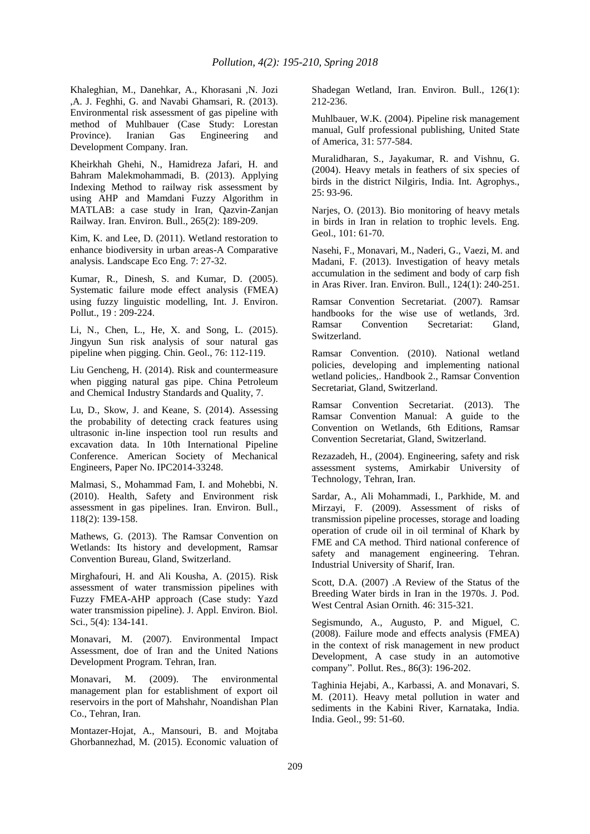Khaleghian, M., Danehkar, A., Khorasani ,N. Jozi ,A. J. Feghhi, G. and Navabi Ghamsari, R. (2013). Environmental risk assessment of gas pipeline with method of Muhlbauer (Case Study: Lorestan Province). Iranian Gas Engineering and Development Company. Iran.

Kheirkhah Ghehi, N., Hamidreza Jafari, H. and Bahram Malekmohammadi, B. (2013). Applying Indexing Method to railway risk assessment by using AHP and Mamdani Fuzzy Algorithm in MATLAB: a case study in Iran, Qazvin-Zanjan Railway. Iran. Environ. Bull., 265(2): 189-209.

Kim, K. and Lee, D. (2011). Wetland restoration to enhance biodiversity in urban areas-A Comparative analysis. Landscape Eco Eng. 7: 27-32.

Kumar, R., Dinesh, S. and Kumar, D. (2005). Systematic failure mode effect analysis (FMEA) using fuzzy linguistic modelling, Int. J. Environ. Pollut., 19 : 209-224.

Li, N., Chen, L., He, X. and Song, L. (2015). Jingyun Sun risk analysis of sour natural gas pipeline when pigging. Chin. Geol., 76: 112-119.

Liu Gencheng, H. (2014). Risk and countermeasure when pigging natural gas pipe. China Petroleum and Chemical Industry Standards and Quality, 7.

Lu, D., Skow, J. and Keane, S. (2014). Assessing the probability of detecting crack features using ultrasonic in-line inspection tool run results and excavation data. In 10th International Pipeline Conference. American Society of Mechanical Engineers, Paper No. IPC2014-33248.

Malmasi, S., Mohammad Fam, I. and Mohebbi, N. (2010). Health, Safety and Environment risk assessment in gas pipelines. Iran. Environ. Bull., 118(2): 139-158.

Mathews, G. (2013). The Ramsar Convention on Wetlands: Its history and development, Ramsar Convention Bureau, Gland, Switzerland.

Mirghafouri, H. and Ali Kousha, A. (2015). Risk assessment of water transmission pipelines with Fuzzy FMEA-AHP approach (Case study: Yazd water transmission pipeline). J. Appl. Environ. Biol. Sci., 5(4): 134-141.

Monavari, M. (2007). Environmental Impact Assessment, doe of Iran and the United Nations Development Program. Tehran, Iran.

Monavari, M. (2009). The environmental management plan for establishment of export oil reservoirs in the port of Mahshahr, Noandishan Plan Co., Tehran, Iran.

Montazer-Hojat, A., Mansouri, B. and Mojtaba Ghorbannezhad, M. (2015). Economic valuation of

Shadegan Wetland, Iran. Environ. Bull., 126(1): 212-236.

Muhlbauer, W.K. (2004). Pipeline risk management manual, Gulf professional publishing, United State of America, 31: 577-584.

Muralidharan, S., Jayakumar, R. and Vishnu, G. (2004). Heavy metals in feathers of six species of birds in the district Nilgiris, India. Int. Agrophys., 25: 93-96.

Narjes, O. (2013). Bio monitoring of heavy metals in birds in Iran in relation to trophic levels. Eng. Geol., 101: 61-70.

Nasehi, F., Monavari, M., Naderi, G., Vaezi, M. and Madani, F. (2013). Investigation of heavy metals accumulation in the sediment and body of carp fish in Aras River. Iran. Environ. Bull., 124(1): 240-251.

Ramsar Convention Secretariat. (2007). Ramsar handbooks for the wise use of wetlands, 3rd. Ramsar Convention Secretariat: Gland, Switzerland.

Ramsar Convention. (2010). National wetland policies, developing and implementing national wetland policies,. Handbook 2., Ramsar Convention Secretariat, Gland, Switzerland.

Ramsar Convention Secretariat. (2013). The Ramsar Convention Manual: A guide to the Convention on Wetlands, 6th Editions, Ramsar Convention Secretariat, Gland, Switzerland.

Rezazadeh, H., (2004). Engineering, safety and risk assessment systems, Amirkabir University of Technology, Tehran, Iran.

Sardar, A., Ali Mohammadi, I., Parkhide, M. and Mirzayi, F. (2009). Assessment of risks of transmission pipeline processes, storage and loading operation of crude oil in oil terminal of Khark by FME and CA method. Third national conference of safety and management engineering. Tehran. Industrial University of Sharif, Iran.

Scott, D.A. (2007) .A Review of the Status of the Breeding Water birds in Iran in the 1970s. J. Pod. West Central Asian Ornith. 46: 315-321.

Segismundo, A., Augusto, P. and Miguel, C. (2008). Failure mode and effects analysis (FMEA) in the context of risk management in new product Development, A case study in an automotive company". Pollut. Res., 86(3): 196-202.

Taghinia Hejabi, A., Karbassi, A. and Monavari, S. M. (2011). Heavy metal pollution in water and sediments in the Kabini River, Karnataka, India. India. Geol., 99: 51-60.